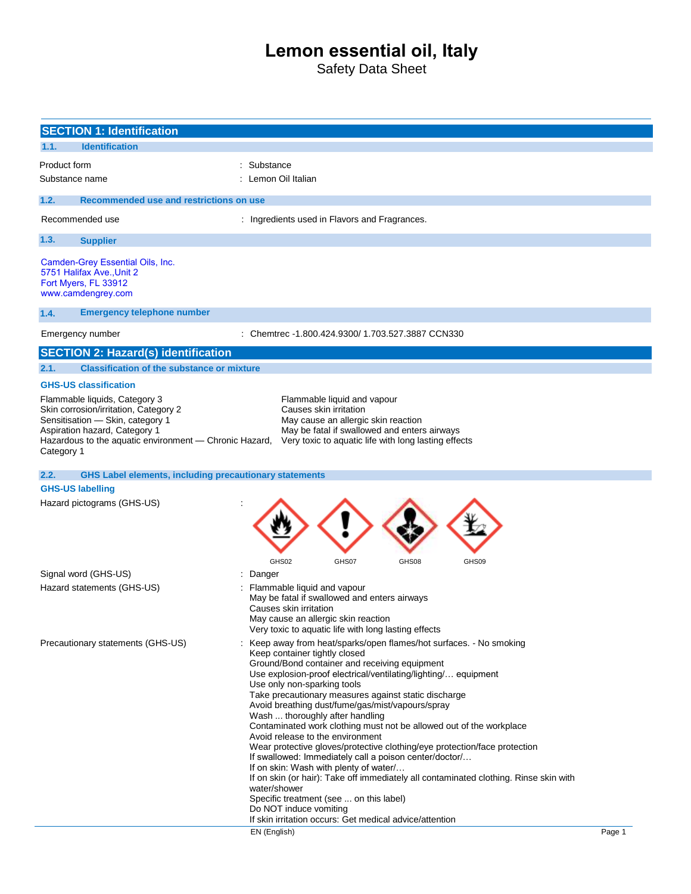# **Lemon essential oil, Italy**

Safety Data Sheet

|              | <b>SECTION 1: Identification</b>                                                                                                                                                                      |                                                                                                                                                                                                                                                                                                                                                                                                                                                                                                                                                                                                                                                                                                                                                                                                                                                                                                                                           |        |  |
|--------------|-------------------------------------------------------------------------------------------------------------------------------------------------------------------------------------------------------|-------------------------------------------------------------------------------------------------------------------------------------------------------------------------------------------------------------------------------------------------------------------------------------------------------------------------------------------------------------------------------------------------------------------------------------------------------------------------------------------------------------------------------------------------------------------------------------------------------------------------------------------------------------------------------------------------------------------------------------------------------------------------------------------------------------------------------------------------------------------------------------------------------------------------------------------|--------|--|
| 1.1.         | <b>Identification</b>                                                                                                                                                                                 |                                                                                                                                                                                                                                                                                                                                                                                                                                                                                                                                                                                                                                                                                                                                                                                                                                                                                                                                           |        |  |
| Product form |                                                                                                                                                                                                       | : Substance                                                                                                                                                                                                                                                                                                                                                                                                                                                                                                                                                                                                                                                                                                                                                                                                                                                                                                                               |        |  |
|              | Substance name                                                                                                                                                                                        | : Lemon Oil Italian                                                                                                                                                                                                                                                                                                                                                                                                                                                                                                                                                                                                                                                                                                                                                                                                                                                                                                                       |        |  |
|              |                                                                                                                                                                                                       |                                                                                                                                                                                                                                                                                                                                                                                                                                                                                                                                                                                                                                                                                                                                                                                                                                                                                                                                           |        |  |
| 1.2.         | Recommended use and restrictions on use                                                                                                                                                               |                                                                                                                                                                                                                                                                                                                                                                                                                                                                                                                                                                                                                                                                                                                                                                                                                                                                                                                                           |        |  |
|              | Recommended use                                                                                                                                                                                       | : Ingredients used in Flavors and Fragrances.                                                                                                                                                                                                                                                                                                                                                                                                                                                                                                                                                                                                                                                                                                                                                                                                                                                                                             |        |  |
| 1.3.         | <b>Supplier</b>                                                                                                                                                                                       |                                                                                                                                                                                                                                                                                                                                                                                                                                                                                                                                                                                                                                                                                                                                                                                                                                                                                                                                           |        |  |
|              | Camden-Grey Essential Oils, Inc.<br>5751 Halifax Ave., Unit 2<br>Fort Myers, FL 33912<br>www.camdengrey.com                                                                                           |                                                                                                                                                                                                                                                                                                                                                                                                                                                                                                                                                                                                                                                                                                                                                                                                                                                                                                                                           |        |  |
| 1.4.         | <b>Emergency telephone number</b>                                                                                                                                                                     |                                                                                                                                                                                                                                                                                                                                                                                                                                                                                                                                                                                                                                                                                                                                                                                                                                                                                                                                           |        |  |
|              | Emergency number                                                                                                                                                                                      | : Chemtrec -1.800.424.9300/ 1.703.527.3887 CCN330                                                                                                                                                                                                                                                                                                                                                                                                                                                                                                                                                                                                                                                                                                                                                                                                                                                                                         |        |  |
|              | <b>SECTION 2: Hazard(s) identification</b>                                                                                                                                                            |                                                                                                                                                                                                                                                                                                                                                                                                                                                                                                                                                                                                                                                                                                                                                                                                                                                                                                                                           |        |  |
| 2.1.         | <b>Classification of the substance or mixture</b>                                                                                                                                                     |                                                                                                                                                                                                                                                                                                                                                                                                                                                                                                                                                                                                                                                                                                                                                                                                                                                                                                                                           |        |  |
|              | <b>GHS-US classification</b>                                                                                                                                                                          |                                                                                                                                                                                                                                                                                                                                                                                                                                                                                                                                                                                                                                                                                                                                                                                                                                                                                                                                           |        |  |
| Category 1   | Flammable liquids, Category 3<br>Skin corrosion/irritation, Category 2<br>Sensitisation - Skin, category 1<br>Aspiration hazard, Category 1<br>Hazardous to the aquatic environment - Chronic Hazard, | Flammable liquid and vapour<br>Causes skin irritation<br>May cause an allergic skin reaction<br>May be fatal if swallowed and enters airways<br>Very toxic to aquatic life with long lasting effects                                                                                                                                                                                                                                                                                                                                                                                                                                                                                                                                                                                                                                                                                                                                      |        |  |
| 2.2.         | <b>GHS Label elements, including precautionary statements</b>                                                                                                                                         |                                                                                                                                                                                                                                                                                                                                                                                                                                                                                                                                                                                                                                                                                                                                                                                                                                                                                                                                           |        |  |
|              | <b>GHS-US labelling</b>                                                                                                                                                                               |                                                                                                                                                                                                                                                                                                                                                                                                                                                                                                                                                                                                                                                                                                                                                                                                                                                                                                                                           |        |  |
|              | Hazard pictograms (GHS-US)                                                                                                                                                                            |                                                                                                                                                                                                                                                                                                                                                                                                                                                                                                                                                                                                                                                                                                                                                                                                                                                                                                                                           |        |  |
|              |                                                                                                                                                                                                       | GHS02<br>GHS07<br>GHS08<br>GHS09                                                                                                                                                                                                                                                                                                                                                                                                                                                                                                                                                                                                                                                                                                                                                                                                                                                                                                          |        |  |
|              | Signal word (GHS-US)                                                                                                                                                                                  | : Danger                                                                                                                                                                                                                                                                                                                                                                                                                                                                                                                                                                                                                                                                                                                                                                                                                                                                                                                                  |        |  |
|              | Hazard statements (GHS-US)                                                                                                                                                                            | Flammable liquid and vapour<br>May be fatal if swallowed and enters airways<br>Causes skin irritation<br>May cause an allergic skin reaction<br>Very toxic to aquatic life with long lasting effects                                                                                                                                                                                                                                                                                                                                                                                                                                                                                                                                                                                                                                                                                                                                      |        |  |
|              | Precautionary statements (GHS-US)                                                                                                                                                                     | : Keep away from heat/sparks/open flames/hot surfaces. - No smoking<br>Keep container tightly closed<br>Ground/Bond container and receiving equipment<br>Use explosion-proof electrical/ventilating/lighting/ equipment<br>Use only non-sparking tools<br>Take precautionary measures against static discharge<br>Avoid breathing dust/fume/gas/mist/vapours/spray<br>Wash  thoroughly after handling<br>Contaminated work clothing must not be allowed out of the workplace<br>Avoid release to the environment<br>Wear protective gloves/protective clothing/eye protection/face protection<br>If swallowed: Immediately call a poison center/doctor/<br>If on skin: Wash with plenty of water<br>If on skin (or hair): Take off immediately all contaminated clothing. Rinse skin with<br>water/shower<br>Specific treatment (see  on this label)<br>Do NOT induce vomiting<br>If skin irritation occurs: Get medical advice/attention |        |  |
|              |                                                                                                                                                                                                       | EN (English)                                                                                                                                                                                                                                                                                                                                                                                                                                                                                                                                                                                                                                                                                                                                                                                                                                                                                                                              | Page 1 |  |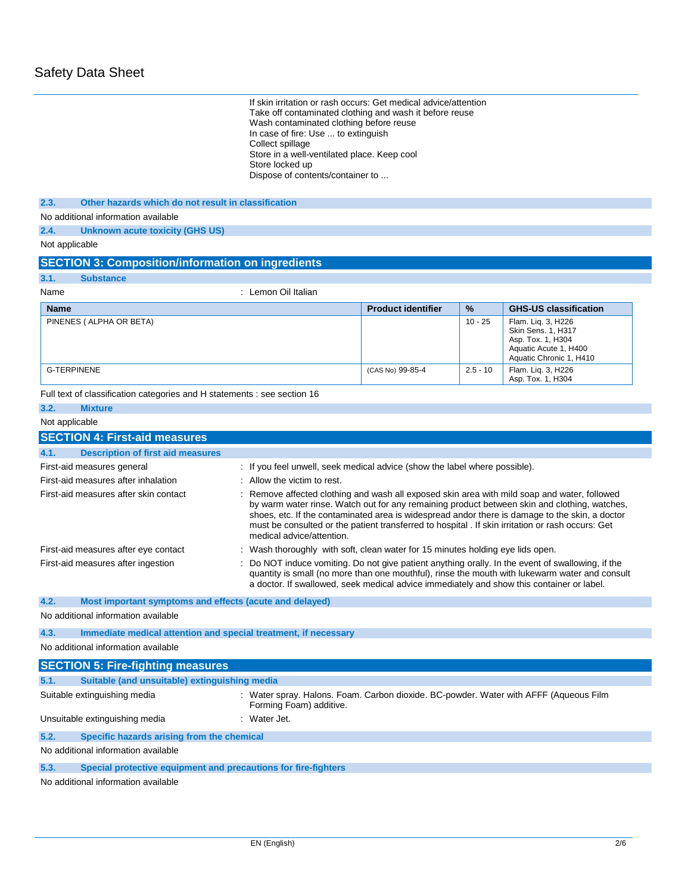| If skin irritation or rash occurs: Get medical advice/attention<br>Take off contaminated clothing and wash it before reuse<br>Wash contaminated clothing before reuse<br>In case of fire: Use  to extinguish<br>Collect spillage<br>Store in a well-ventilated place. Keep cool<br>Store locked up<br>Dispose of contents/container to |                                                                                                                  |                           |            |                                                                                                                                                                                                                                                                                                                                                                                                     |
|----------------------------------------------------------------------------------------------------------------------------------------------------------------------------------------------------------------------------------------------------------------------------------------------------------------------------------------|------------------------------------------------------------------------------------------------------------------|---------------------------|------------|-----------------------------------------------------------------------------------------------------------------------------------------------------------------------------------------------------------------------------------------------------------------------------------------------------------------------------------------------------------------------------------------------------|
| Other hazards which do not result in classification<br>2.3.                                                                                                                                                                                                                                                                            |                                                                                                                  |                           |            |                                                                                                                                                                                                                                                                                                                                                                                                     |
| No additional information available                                                                                                                                                                                                                                                                                                    |                                                                                                                  |                           |            |                                                                                                                                                                                                                                                                                                                                                                                                     |
| 2.4.<br>Unknown acute toxicity (GHS US)                                                                                                                                                                                                                                                                                                |                                                                                                                  |                           |            |                                                                                                                                                                                                                                                                                                                                                                                                     |
| Not applicable                                                                                                                                                                                                                                                                                                                         |                                                                                                                  |                           |            |                                                                                                                                                                                                                                                                                                                                                                                                     |
| <b>SECTION 3: Composition/information on ingredients</b>                                                                                                                                                                                                                                                                               |                                                                                                                  |                           |            |                                                                                                                                                                                                                                                                                                                                                                                                     |
| 3.1.<br><b>Substance</b>                                                                                                                                                                                                                                                                                                               |                                                                                                                  |                           |            |                                                                                                                                                                                                                                                                                                                                                                                                     |
| Name                                                                                                                                                                                                                                                                                                                                   | : Lemon Oil Italian                                                                                              |                           |            |                                                                                                                                                                                                                                                                                                                                                                                                     |
| <b>Name</b>                                                                                                                                                                                                                                                                                                                            |                                                                                                                  | <b>Product identifier</b> | %          | <b>GHS-US classification</b>                                                                                                                                                                                                                                                                                                                                                                        |
| PINENES (ALPHA OR BETA)                                                                                                                                                                                                                                                                                                                |                                                                                                                  |                           | $10 - 25$  | Flam. Liq. 3, H226<br>Skin Sens. 1, H317<br>Asp. Tox. 1, H304<br>Aquatic Acute 1, H400<br>Aquatic Chronic 1, H410                                                                                                                                                                                                                                                                                   |
| <b>G-TERPINENE</b>                                                                                                                                                                                                                                                                                                                     |                                                                                                                  | (CAS No) 99-85-4          | $2.5 - 10$ | Flam. Liq. 3, H226<br>Asp. Tox. 1, H304                                                                                                                                                                                                                                                                                                                                                             |
| Full text of classification categories and H statements : see section 16                                                                                                                                                                                                                                                               |                                                                                                                  |                           |            |                                                                                                                                                                                                                                                                                                                                                                                                     |
| 3.2.<br><b>Mixture</b>                                                                                                                                                                                                                                                                                                                 |                                                                                                                  |                           |            |                                                                                                                                                                                                                                                                                                                                                                                                     |
| Not applicable                                                                                                                                                                                                                                                                                                                         |                                                                                                                  |                           |            |                                                                                                                                                                                                                                                                                                                                                                                                     |
| <b>SECTION 4: First-aid measures</b>                                                                                                                                                                                                                                                                                                   |                                                                                                                  |                           |            |                                                                                                                                                                                                                                                                                                                                                                                                     |
| 4.1.<br><b>Description of first aid measures</b>                                                                                                                                                                                                                                                                                       |                                                                                                                  |                           |            |                                                                                                                                                                                                                                                                                                                                                                                                     |
| First-aid measures general                                                                                                                                                                                                                                                                                                             | : If you feel unwell, seek medical advice (show the label where possible).                                       |                           |            |                                                                                                                                                                                                                                                                                                                                                                                                     |
| First-aid measures after inhalation                                                                                                                                                                                                                                                                                                    | : Allow the victim to rest.                                                                                      |                           |            |                                                                                                                                                                                                                                                                                                                                                                                                     |
| First-aid measures after skin contact                                                                                                                                                                                                                                                                                                  | medical advice/attention.                                                                                        |                           |            | : Remove affected clothing and wash all exposed skin area with mild soap and water, followed<br>by warm water rinse. Watch out for any remaining product between skin and clothing, watches,<br>shoes, etc. If the contaminated area is widespread andor there is damage to the skin, a doctor<br>must be consulted or the patient transferred to hospital . If skin irritation or rash occurs: Get |
| First-aid measures after eye contact                                                                                                                                                                                                                                                                                                   | : Wash thoroughly with soft, clean water for 15 minutes holding eye lids open.                                   |                           |            |                                                                                                                                                                                                                                                                                                                                                                                                     |
| First-aid measures after ingestion<br>: Do NOT induce vomiting. Do not give patient anything orally. In the event of swallowing, if the<br>quantity is small (no more than one mouthful), rinse the mouth with lukewarm water and consult<br>a doctor. If swallowed, seek medical advice immediately and show this container or label. |                                                                                                                  |                           |            |                                                                                                                                                                                                                                                                                                                                                                                                     |
| 4.2.<br>Most important symptoms and effects (acute and delayed)                                                                                                                                                                                                                                                                        |                                                                                                                  |                           |            |                                                                                                                                                                                                                                                                                                                                                                                                     |
| No additional information available                                                                                                                                                                                                                                                                                                    |                                                                                                                  |                           |            |                                                                                                                                                                                                                                                                                                                                                                                                     |
| 4.3.<br>Immediate medical attention and special treatment, if necessary                                                                                                                                                                                                                                                                |                                                                                                                  |                           |            |                                                                                                                                                                                                                                                                                                                                                                                                     |
| No additional information available                                                                                                                                                                                                                                                                                                    |                                                                                                                  |                           |            |                                                                                                                                                                                                                                                                                                                                                                                                     |
| <b>SECTION 5: Fire-fighting measures</b>                                                                                                                                                                                                                                                                                               |                                                                                                                  |                           |            |                                                                                                                                                                                                                                                                                                                                                                                                     |
| 5.1.<br>Suitable (and unsuitable) extinguishing media                                                                                                                                                                                                                                                                                  |                                                                                                                  |                           |            |                                                                                                                                                                                                                                                                                                                                                                                                     |
| Suitable extinguishing media                                                                                                                                                                                                                                                                                                           | : Water spray. Halons. Foam. Carbon dioxide. BC-powder. Water with AFFF (Aqueous Film<br>Forming Foam) additive. |                           |            |                                                                                                                                                                                                                                                                                                                                                                                                     |
| Unsuitable extinguishing media                                                                                                                                                                                                                                                                                                         | : Water Jet.                                                                                                     |                           |            |                                                                                                                                                                                                                                                                                                                                                                                                     |
| 5.2.<br>Specific hazards arising from the chemical                                                                                                                                                                                                                                                                                     |                                                                                                                  |                           |            |                                                                                                                                                                                                                                                                                                                                                                                                     |
| No additional information available                                                                                                                                                                                                                                                                                                    |                                                                                                                  |                           |            |                                                                                                                                                                                                                                                                                                                                                                                                     |
| 5.3.<br>Special protective equipment and precautions for fire-fighters                                                                                                                                                                                                                                                                 |                                                                                                                  |                           |            |                                                                                                                                                                                                                                                                                                                                                                                                     |
| No additional information available                                                                                                                                                                                                                                                                                                    |                                                                                                                  |                           |            |                                                                                                                                                                                                                                                                                                                                                                                                     |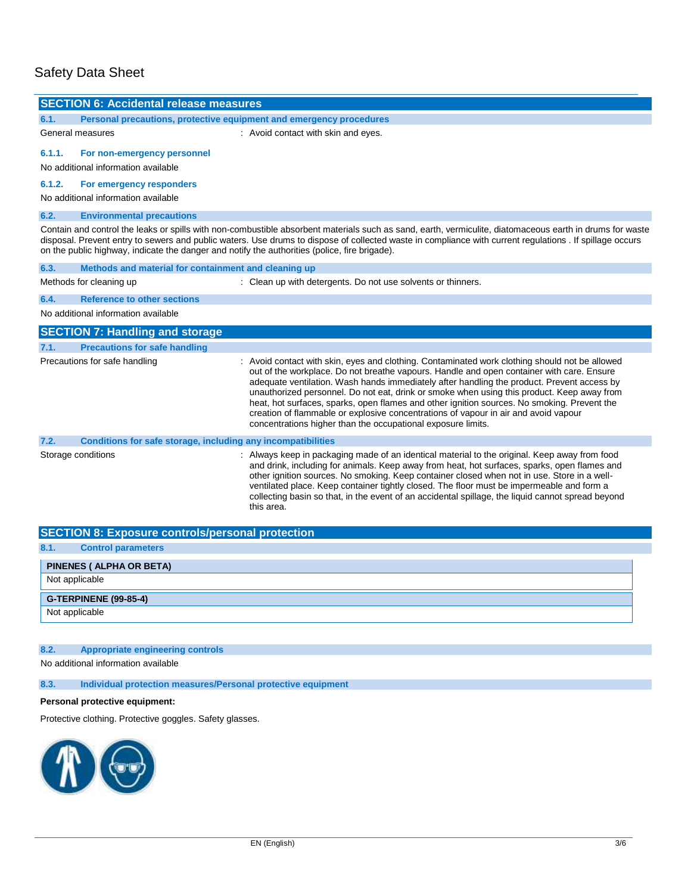# Safety Data Sheet

 $\overline{a}$ 

| <b>SECTION 6: Accidental release measures</b>                                                                                                                                                                                                                                                                                                                                                                         |                                                                                                                                                                                                                                                                                                                                                                                                                                                                                                                                                                                                                                               |  |  |  |
|-----------------------------------------------------------------------------------------------------------------------------------------------------------------------------------------------------------------------------------------------------------------------------------------------------------------------------------------------------------------------------------------------------------------------|-----------------------------------------------------------------------------------------------------------------------------------------------------------------------------------------------------------------------------------------------------------------------------------------------------------------------------------------------------------------------------------------------------------------------------------------------------------------------------------------------------------------------------------------------------------------------------------------------------------------------------------------------|--|--|--|
| 6.1.<br>Personal precautions, protective equipment and emergency procedures                                                                                                                                                                                                                                                                                                                                           |                                                                                                                                                                                                                                                                                                                                                                                                                                                                                                                                                                                                                                               |  |  |  |
| General measures                                                                                                                                                                                                                                                                                                                                                                                                      | : Avoid contact with skin and eyes.                                                                                                                                                                                                                                                                                                                                                                                                                                                                                                                                                                                                           |  |  |  |
| 6.1.1.<br>For non-emergency personnel                                                                                                                                                                                                                                                                                                                                                                                 |                                                                                                                                                                                                                                                                                                                                                                                                                                                                                                                                                                                                                                               |  |  |  |
| No additional information available                                                                                                                                                                                                                                                                                                                                                                                   |                                                                                                                                                                                                                                                                                                                                                                                                                                                                                                                                                                                                                                               |  |  |  |
| 6.1.2.<br>For emergency responders                                                                                                                                                                                                                                                                                                                                                                                    |                                                                                                                                                                                                                                                                                                                                                                                                                                                                                                                                                                                                                                               |  |  |  |
| No additional information available                                                                                                                                                                                                                                                                                                                                                                                   |                                                                                                                                                                                                                                                                                                                                                                                                                                                                                                                                                                                                                                               |  |  |  |
| 6.2.<br><b>Environmental precautions</b>                                                                                                                                                                                                                                                                                                                                                                              |                                                                                                                                                                                                                                                                                                                                                                                                                                                                                                                                                                                                                                               |  |  |  |
| Contain and control the leaks or spills with non-combustible absorbent materials such as sand, earth, vermiculite, diatomaceous earth in drums for waste<br>disposal. Prevent entry to sewers and public waters. Use drums to dispose of collected waste in compliance with current regulations . If spillage occurs<br>on the public highway, indicate the danger and notify the authorities (police, fire brigade). |                                                                                                                                                                                                                                                                                                                                                                                                                                                                                                                                                                                                                                               |  |  |  |
| 6.3.<br>Methods and material for containment and cleaning up                                                                                                                                                                                                                                                                                                                                                          |                                                                                                                                                                                                                                                                                                                                                                                                                                                                                                                                                                                                                                               |  |  |  |
| Methods for cleaning up                                                                                                                                                                                                                                                                                                                                                                                               | : Clean up with detergents. Do not use solvents or thinners.                                                                                                                                                                                                                                                                                                                                                                                                                                                                                                                                                                                  |  |  |  |
| 6.4.<br><b>Reference to other sections</b>                                                                                                                                                                                                                                                                                                                                                                            |                                                                                                                                                                                                                                                                                                                                                                                                                                                                                                                                                                                                                                               |  |  |  |
| No additional information available                                                                                                                                                                                                                                                                                                                                                                                   |                                                                                                                                                                                                                                                                                                                                                                                                                                                                                                                                                                                                                                               |  |  |  |
| <b>SECTION 7: Handling and storage</b>                                                                                                                                                                                                                                                                                                                                                                                |                                                                                                                                                                                                                                                                                                                                                                                                                                                                                                                                                                                                                                               |  |  |  |
| <b>Precautions for safe handling</b><br>7.1.                                                                                                                                                                                                                                                                                                                                                                          |                                                                                                                                                                                                                                                                                                                                                                                                                                                                                                                                                                                                                                               |  |  |  |
| Precautions for safe handling                                                                                                                                                                                                                                                                                                                                                                                         | : Avoid contact with skin, eyes and clothing. Contaminated work clothing should not be allowed<br>out of the workplace. Do not breathe vapours. Handle and open container with care. Ensure<br>adequate ventilation. Wash hands immediately after handling the product. Prevent access by<br>unauthorized personnel. Do not eat, drink or smoke when using this product. Keep away from<br>heat, hot surfaces, sparks, open flames and other ignition sources. No smoking. Prevent the<br>creation of flammable or explosive concentrations of vapour in air and avoid vapour<br>concentrations higher than the occupational exposure limits. |  |  |  |
| 7.2.                                                                                                                                                                                                                                                                                                                                                                                                                  | Conditions for safe storage, including any incompatibilities                                                                                                                                                                                                                                                                                                                                                                                                                                                                                                                                                                                  |  |  |  |
| Storage conditions                                                                                                                                                                                                                                                                                                                                                                                                    | : Always keep in packaging made of an identical material to the original. Keep away from food<br>and drink, including for animals. Keep away from heat, hot surfaces, sparks, open flames and<br>other ignition sources. No smoking. Keep container closed when not in use. Store in a well-<br>ventilated place. Keep container tightly closed. The floor must be impermeable and form a<br>collecting basin so that, in the event of an accidental spillage, the liquid cannot spread beyond<br>this area.                                                                                                                                  |  |  |  |
| <b>CECTION 0. Evnacura controlainergonal protection</b>                                                                                                                                                                                                                                                                                                                                                               |                                                                                                                                                                                                                                                                                                                                                                                                                                                                                                                                                                                                                                               |  |  |  |

| <b>SECTION 8: Exposure controls/personal protection</b> |  |  |
|---------------------------------------------------------|--|--|
| 8.1.<br><b>Control parameters</b>                       |  |  |
| PINENES ( ALPHA OR BETA)                                |  |  |
| Not applicable                                          |  |  |
| <b>G-TERPINENE (99-85-4)</b>                            |  |  |
| Not applicable                                          |  |  |

## **8.2. Appropriate engineering controls**

No additional information available

**8.3. Individual protection measures/Personal protective equipment**

## **Personal protective equipment:**

Protective clothing. Protective goggles. Safety glasses.

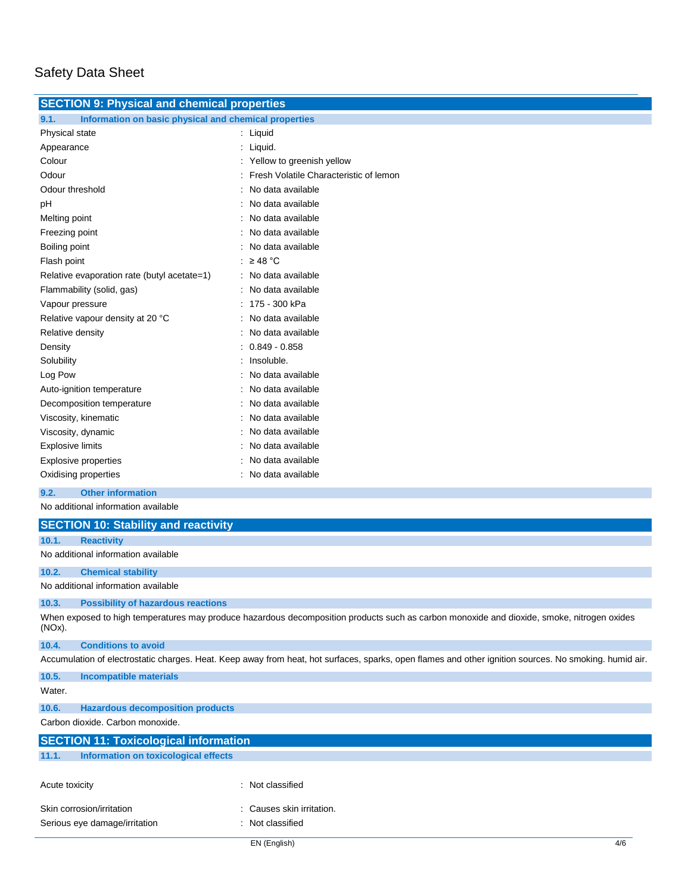| <b>SECTION 9: Physical and chemical properties</b>            |                                          |  |  |
|---------------------------------------------------------------|------------------------------------------|--|--|
| Information on basic physical and chemical properties<br>9.1. |                                          |  |  |
| Physical state                                                | : Liquid                                 |  |  |
| Appearance                                                    | : Liquid.                                |  |  |
| Colour                                                        | : Yellow to greenish yellow              |  |  |
| Odour                                                         | : Fresh Volatile Characteristic of lemon |  |  |
| Odour threshold                                               | : No data available                      |  |  |
| рH                                                            | : No data available                      |  |  |
| Melting point                                                 | : No data available                      |  |  |
| Freezing point                                                | : No data available                      |  |  |
| Boiling point                                                 | : No data available                      |  |  |
| Flash point                                                   | : $\geq$ 48 °C                           |  |  |
| Relative evaporation rate (butyl acetate=1)                   | : No data available                      |  |  |
| Flammability (solid, gas)                                     | : No data available                      |  |  |
| Vapour pressure                                               | : 175 - 300 kPa                          |  |  |
| Relative vapour density at 20 °C                              | : No data available                      |  |  |
| Relative density                                              | : No data available                      |  |  |
| Density                                                       | $: 0.849 - 0.858$                        |  |  |
| Solubility                                                    | Insoluble.                               |  |  |
| Log Pow                                                       | No data available                        |  |  |
| Auto-ignition temperature                                     | No data available                        |  |  |
| Decomposition temperature                                     | No data available                        |  |  |
| Viscosity, kinematic                                          | No data available                        |  |  |
| Viscosity, dynamic                                            | No data available                        |  |  |
| <b>Explosive limits</b>                                       | No data available                        |  |  |
| <b>Explosive properties</b>                                   | No data available                        |  |  |
| Oxidising properties                                          | : No data available                      |  |  |
| <b>Other information</b><br>9.2.                              |                                          |  |  |
| No additional information available                           |                                          |  |  |
| <b>SECTION 10: Stability and reactivity</b>                   |                                          |  |  |
| <b>Reactivity</b><br>10.1.                                    |                                          |  |  |
| No additional information available                           |                                          |  |  |

**10.2. Chemical stability**

No additional information available

#### **10.3. Possibility of hazardous reactions**

When exposed to high temperatures may produce hazardous decomposition products such as carbon monoxide and dioxide, smoke, nitrogen oxides (NOx).

### **10.4. Conditions to avoid**

Accumulation of electrostatic charges. Heat. Keep away from heat, hot surfaces, sparks, open flames and other ignition sources. No smoking. humid air.

| 10.5.                         | Incompatible materials                       |                           |
|-------------------------------|----------------------------------------------|---------------------------|
| Water.                        |                                              |                           |
| 10.6.                         | <b>Hazardous decomposition products</b>      |                           |
|                               | Carbon dioxide, Carbon monoxide.             |                           |
|                               | <b>SECTION 11: Toxicological information</b> |                           |
| 11.1.                         | Information on toxicological effects         |                           |
| Acute toxicity                |                                              | : Not classified          |
|                               | Skin corrosion/irritation                    | : Causes skin irritation. |
| Serious eye damage/irritation |                                              | : Not classified          |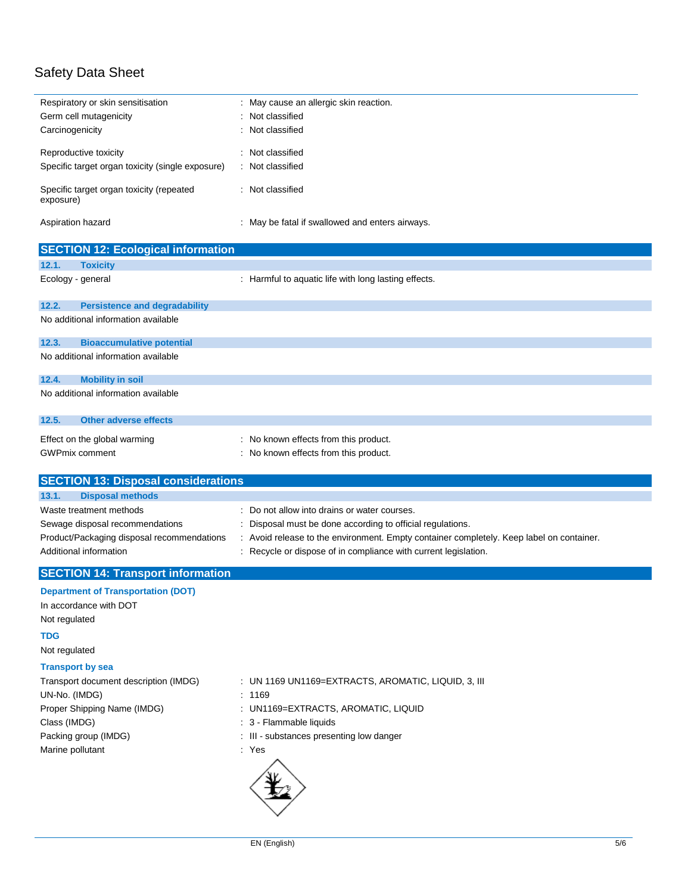# Safety Data Sheet

| Respiratory or skin sensitisation                                                    | : May cause an allergic skin reaction.                                                 |
|--------------------------------------------------------------------------------------|----------------------------------------------------------------------------------------|
| Germ cell mutagenicity                                                               | Not classified                                                                         |
| Carcinogenicity                                                                      | Not classified                                                                         |
| Reproductive toxicity                                                                | Not classified                                                                         |
| Specific target organ toxicity (single exposure)                                     | Not classified                                                                         |
| Specific target organ toxicity (repeated                                             | : Not classified                                                                       |
| exposure)                                                                            |                                                                                        |
| Aspiration hazard                                                                    | May be fatal if swallowed and enters airways.                                          |
| <b>SECTION 12: Ecological information</b>                                            |                                                                                        |
| 12.1.<br><b>Toxicity</b>                                                             |                                                                                        |
| Ecology - general                                                                    | : Harmful to aquatic life with long lasting effects.                                   |
| 12.2.<br><b>Persistence and degradability</b>                                        |                                                                                        |
| No additional information available                                                  |                                                                                        |
| 12.3.<br><b>Bioaccumulative potential</b>                                            |                                                                                        |
| No additional information available                                                  |                                                                                        |
| 12.4.<br><b>Mobility in soil</b>                                                     |                                                                                        |
| No additional information available                                                  |                                                                                        |
| <b>Other adverse effects</b><br>12.5.                                                |                                                                                        |
| Effect on the global warming                                                         | No known effects from this product.                                                    |
| <b>GWPmix comment</b>                                                                | No known effects from this product.                                                    |
|                                                                                      |                                                                                        |
| <b>SECTION 13: Disposal considerations</b>                                           |                                                                                        |
| 13.1.<br><b>Disposal methods</b>                                                     |                                                                                        |
| Waste treatment methods                                                              | Do not allow into drains or water courses.                                             |
| Sewage disposal recommendations                                                      | Disposal must be done according to official regulations.                               |
| Product/Packaging disposal recommendations                                           | Avoid release to the environment. Empty container completely. Keep label on container. |
| Additional information                                                               | Recycle or dispose of in compliance with current legislation.                          |
| <b>SECTION 14: Transport information</b>                                             |                                                                                        |
|                                                                                      |                                                                                        |
| <b>Department of Transportation (DOT)</b><br>In accordance with DOT<br>Not regulated |                                                                                        |
|                                                                                      |                                                                                        |
| TDG<br>Not regulated                                                                 |                                                                                        |
| <b>Transport by sea</b>                                                              |                                                                                        |
| Transport document description (IMDG)                                                | : UN 1169 UN1169=EXTRACTS, AROMATIC, LIQUID, 3, III                                    |
| UN-No. (IMDG)                                                                        | : 1169                                                                                 |
| Proper Shipping Name (IMDG)                                                          | : UN1169=EXTRACTS, AROMATIC, LIQUID                                                    |
| Class (IMDG)                                                                         | : 3 - Flammable liquids                                                                |
| Packing group (IMDG)                                                                 | : III - substances presenting low danger                                               |
| Marine pollutant                                                                     |                                                                                        |
|                                                                                      | : Yes                                                                                  |
|                                                                                      |                                                                                        |
|                                                                                      |                                                                                        |
|                                                                                      |                                                                                        |
|                                                                                      |                                                                                        |